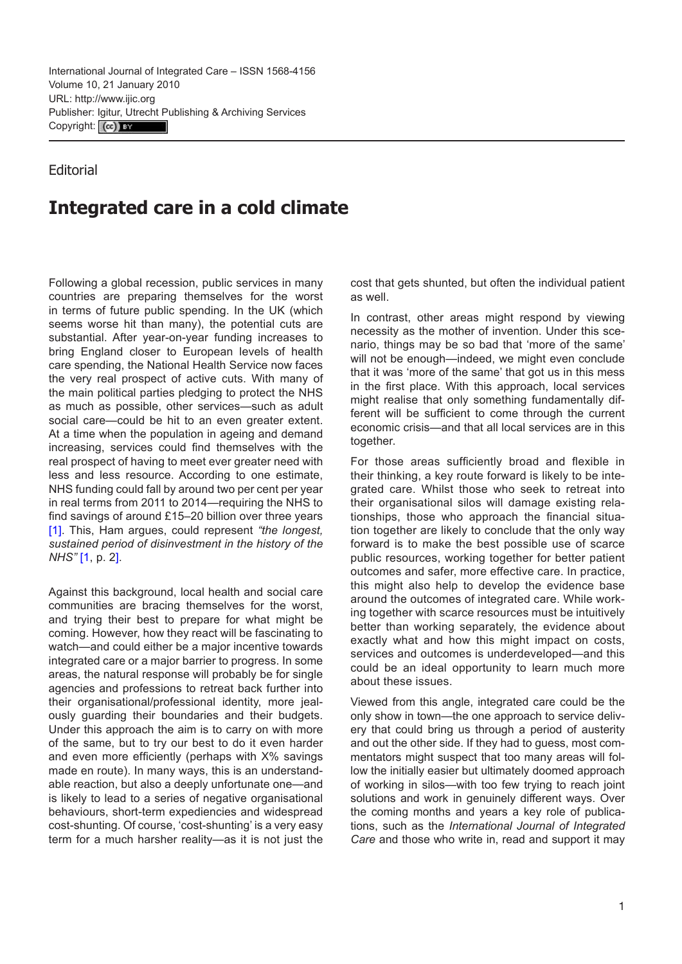## Editorial

## **Integrated care in a cold climate**

Following a global recession, public services in many countries are preparing themselves for the worst in terms of future public spending. In the UK (which seems worse hit than many), the potential cuts are substantial. After year-on-year funding increases to bring England closer to European levels of health care spending, the National Health Service now faces the very real prospect of active cuts. With many of the main political parties pledging to protect the NHS as much as possible, other services—such as adult social care—could be hit to an even greater extent. At a time when the population in ageing and demand increasing, services could find themselves with the real prospect of having to meet ever greater need with less and less resource. According to one estimate, NHS funding could fall by around two per cent per year in real terms from 2011 to 2014—requiring the NHS to find savings of around £15–20 billion over three years [\[1\]](#page-1-0). This, Ham argues, could represent *"the longest, sustained period of disinvestment in the history of the NHS"* [[1](#page-1-0), p. 2].

Against this background, local health and social care communities are bracing themselves for the worst, and trying their best to prepare for what might be coming. However, how they react will be fascinating to watch—and could either be a major incentive towards integrated care or a major barrier to progress. In some areas, the natural response will probably be for single agencies and professions to retreat back further into their organisational/professional identity, more jealously guarding their boundaries and their budgets. Under this approach the aim is to carry on with more of the same, but to try our best to do it even harder and even more efficiently (perhaps with X% savings made en route). In many ways, this is an understandable reaction, but also a deeply unfortunate one—and is likely to lead to a series of negative organisational behaviours, short-term expediencies and widespread cost-shunting. Of course, 'cost-shunting' is a very easy term for a much harsher reality—as it is not just the cost that gets shunted, but often the individual patient as well.

In contrast, other areas might respond by viewing necessity as the mother of invention. Under this scenario, things may be so bad that 'more of the same' will not be enough—indeed, we might even conclude that it was 'more of the same' that got us in this mess in the first place. With this approach, local services might realise that only something fundamentally different will be sufficient to come through the current economic crisis—and that all local services are in this together.

For those areas sufficiently broad and flexible in their thinking, a key route forward is likely to be integrated care. Whilst those who seek to retreat into their organisational silos will damage existing relationships, those who approach the financial situation together are likely to conclude that the only way forward is to make the best possible use of scarce public resources, working together for better patient outcomes and safer, more effective care. In practice, this might also help to develop the evidence base around the outcomes of integrated care. While working together with scarce resources must be intuitively better than working separately, the evidence about exactly what and how this might impact on costs, services and outcomes is underdeveloped—and this could be an ideal opportunity to learn much more about these issues.

Viewed from this angle, integrated care could be the only show in town—the one approach to service delivery that could bring us through a period of austerity and out the other side. If they had to guess, most commentators might suspect that too many areas will follow the initially easier but ultimately doomed approach of working in silos—with too few trying to reach joint solutions and work in genuinely different ways. Over the coming months and years a key role of publications, such as the *International Journal of Integrated Care* and those who write in, read and support it may